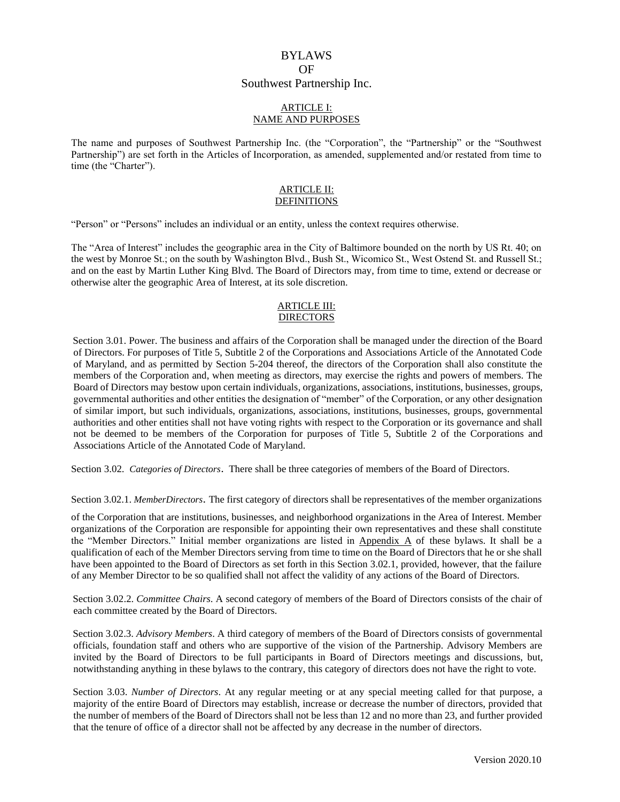# BYLAWS OF Southwest Partnership Inc.

### ARTICLE I: NAME AND PURPOSES

The name and purposes of Southwest Partnership Inc. (the "Corporation", the "Partnership" or the "Southwest Partnership") are set forth in the Articles of Incorporation, as amended, supplemented and/or restated from time to time (the "Charter").

#### ARTICLE II: DEFINITIONS

"Person" or "Persons" includes an individual or an entity, unless the context requires otherwise.

The "Area of Interest" includes the geographic area in the City of Baltimore bounded on the north by US Rt. 40; on the west by Monroe St.; on the south by Washington Blvd., Bush St., Wicomico St., West Ostend St. and Russell St.; and on the east by Martin Luther King Blvd. The Board of Directors may, from time to time, extend or decrease or otherwise alter the geographic Area of Interest, at its sole discretion.

### **ARTICLE III: DIRECTORS**

Section 3.01. Power. The business and affairs of the Corporation shall be managed under the direction of the Board of Directors. For purposes of Title 5, Subtitle 2 of the Corporations and Associations Article of the Annotated Code of Maryland, and as permitted by Section 5-204 thereof, the directors of the Corporation shall also constitute the members of the Corporation and, when meeting as directors, may exercise the rights and powers of members. The Board of Directors may bestow upon certain individuals, organizations, associations, institutions, businesses, groups, governmental authorities and other entities the designation of "member" of the Corporation, or any other designation of similar import, but such individuals, organizations, associations, institutions, businesses, groups, governmental authorities and other entities shall not have voting rights with respect to the Corporation or its governance and shall not be deemed to be members of the Corporation for purposes of Title 5, Subtitle 2 of the Corporations and Associations Article of the Annotated Code of Maryland.

Section 3.02. *Categories of Directors*. There shall be three categories of members of the Board of Directors.

Section 3.02.1. *MemberDirectors*. The first category of directors shall be representatives of the member organizations

of the Corporation that are institutions, businesses, and neighborhood organizations in the Area of Interest. Member organizations of the Corporation are responsible for appointing their own representatives and these shall constitute the "Member Directors." Initial member organizations are listed in Appendix A of these bylaws. It shall be a qualification of each of the Member Directors serving from time to time on the Board of Directors that he or she shall have been appointed to the Board of Directors as set forth in this Section 3.02.1, provided, however, that the failure of any Member Director to be so qualified shall not affect the validity of any actions of the Board of Directors.

Section 3.02.2. *Committee Chairs*. A second category of members of the Board of Directors consists of the chair of each committee created by the Board of Directors.

Section 3.02.3. *Advisory Members*. A third category of members of the Board of Directors consists of governmental officials, foundation staff and others who are supportive of the vision of the Partnership. Advisory Members are invited by the Board of Directors to be full participants in Board of Directors meetings and discussions, but, notwithstanding anything in these bylaws to the contrary, this category of directors does not have the right to vote.

Section 3.03. *Number of Directors*. At any regular meeting or at any special meeting called for that purpose, a majority of the entire Board of Directors may establish, increase or decrease the number of directors, provided that the number of members of the Board of Directors shall not be less than 12 and no more than 23, and further provided that the tenure of office of a director shall not be affected by any decrease in the number of directors.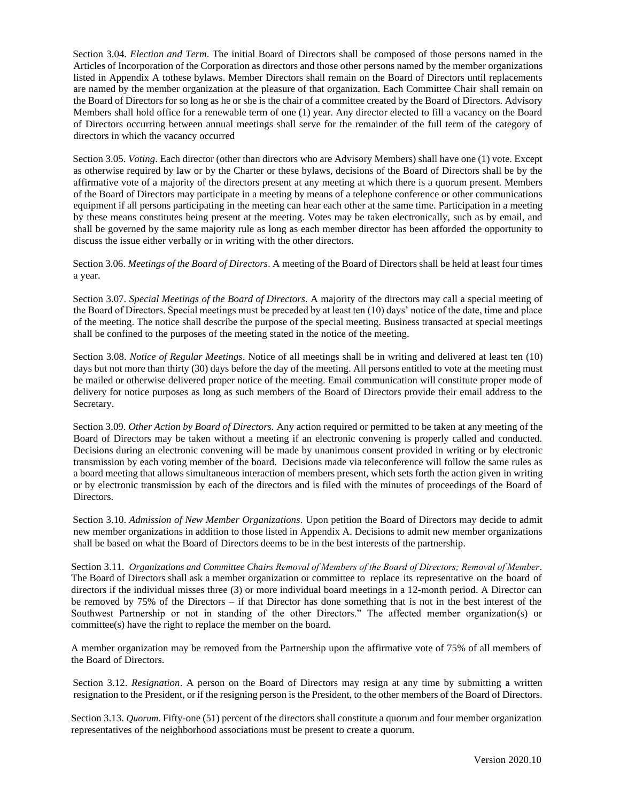Section 3.04. *Election and Term*. The initial Board of Directors shall be composed of those persons named in the Articles of Incorporation of the Corporation as directors and those other persons named by the member organizations listed in Appendix A tothese bylaws. Member Directors shall remain on the Board of Directors until replacements are named by the member organization at the pleasure of that organization. Each Committee Chair shall remain on the Board of Directors for so long as he or she is the chair of a committee created by the Board of Directors. Advisory Members shall hold office for a renewable term of one (1) year. Any director elected to fill a vacancy on the Board of Directors occurring between annual meetings shall serve for the remainder of the full term of the category of directors in which the vacancy occurred

Section 3.05. *Voting*. Each director (other than directors who are Advisory Members) shall have one (1) vote. Except as otherwise required by law or by the Charter or these bylaws, decisions of the Board of Directors shall be by the affirmative vote of a majority of the directors present at any meeting at which there is a quorum present. Members of the Board of Directors may participate in a meeting by means of a telephone conference or other communications equipment if all persons participating in the meeting can hear each other at the same time. Participation in a meeting by these means constitutes being present at the meeting. Votes may be taken electronically, such as by email, and shall be governed by the same majority rule as long as each member director has been afforded the opportunity to discuss the issue either verbally or in writing with the other directors.

Section 3.06. *Meetings of the Board of Directors*. A meeting of the Board of Directors shall be held at least four times a year.

Section 3.07. *Special Meetings of the Board of Directors*. A majority of the directors may call a special meeting of the Board of Directors. Special meetings must be preceded by at least ten (10) days' notice of the date, time and place of the meeting. The notice shall describe the purpose of the special meeting. Business transacted at special meetings shall be confined to the purposes of the meeting stated in the notice of the meeting.

Section 3.08. *Notice of Regular Meetings*. Notice of all meetings shall be in writing and delivered at least ten (10) days but not more than thirty (30) days before the day of the meeting. All persons entitled to vote at the meeting must be mailed or otherwise delivered proper notice of the meeting. Email communication will constitute proper mode of delivery for notice purposes as long as such members of the Board of Directors provide their email address to the Secretary.

Section 3.09. *Other Action by Board of Directors.* Any action required or permitted to be taken at any meeting of the Board of Directors may be taken without a meeting if an electronic convening is properly called and conducted. Decisions during an electronic convening will be made by unanimous consent provided in writing or by electronic transmission by each voting member of the board. Decisions made via teleconference will follow the same rules as a board meeting that allows simultaneous interaction of members present, which sets forth the action given in writing or by electronic transmission by each of the directors and is filed with the minutes of proceedings of the Board of Directors.

Section 3.10. *Admission of New Member Organizations*. Upon petition the Board of Directors may decide to admit new member organizations in addition to those listed in Appendix A. Decisions to admit new member organizations shall be based on what the Board of Directors deems to be in the best interests of the partnership.

Section 3.11. *Organizations and Committee Chairs Removal of Members of the Board of Directors; Removal of Member*. The Board of Directors shall ask a member organization or committee to replace its representative on the board of directors if the individual misses three (3) or more individual board meetings in a 12-month period. A Director can be removed by 75% of the Directors – if that Director has done something that is not in the best interest of the Southwest Partnership or not in standing of the other Directors." The affected member organization(s) or committee(s) have the right to replace the member on the board.

A member organization may be removed from the Partnership upon the affirmative vote of 75% of all members of the Board of Directors.

Section 3.12. *Resignation*. A person on the Board of Directors may resign at any time by submitting a written resignation to the President, or if the resigning person is the President, to the other members of the Board of Directors.

Section 3.13. *Quorum*. Fifty-one (51) percent of the directors shall constitute a quorum and four member organization representatives of the neighborhood associations must be present to create a quorum.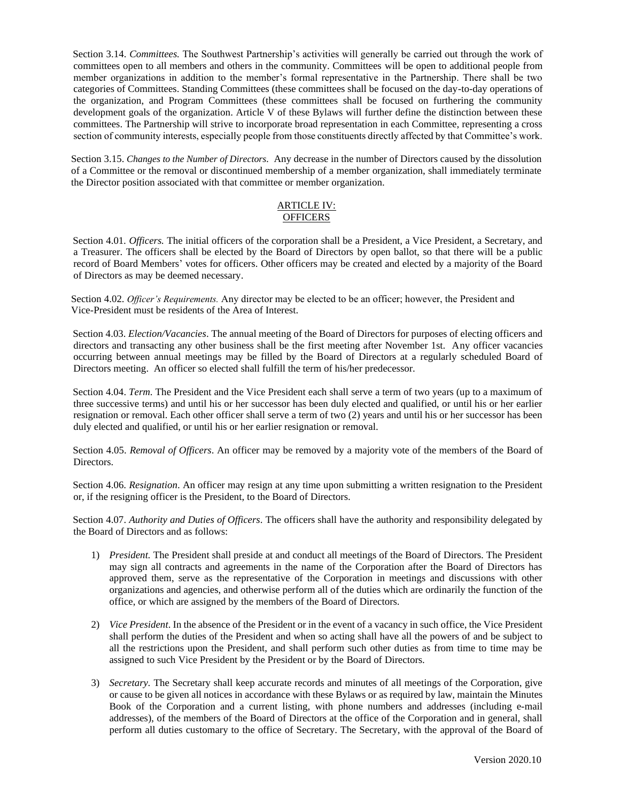Section 3.14. *Committees.* The Southwest Partnership's activities will generally be carried out through the work of committees open to all members and others in the community. Committees will be open to additional people from member organizations in addition to the member's formal representative in the Partnership. There shall be two categories of Committees. Standing Committees (these committees shall be focused on the day-to-day operations of the organization, and Program Committees (these committees shall be focused on furthering the community development goals of the organization. Article V of these Bylaws will further define the distinction between these committees. The Partnership will strive to incorporate broad representation in each Committee, representing a cross section of community interests, especially people from those constituents directly affected by that Committee's work.

Section 3.15. *Changes to the Number of Directors.* Any decrease in the number of Directors caused by the dissolution of a Committee or the removal or discontinued membership of a member organization, shall immediately terminate the Director position associated with that committee or member organization.

### ARTICLE IV: **OFFICERS**

Section 4.01*. Officers.* The initial officers of the corporation shall be a President, a Vice President, a Secretary, and a Treasurer. The officers shall be elected by the Board of Directors by open ballot, so that there will be a public record of Board Members' votes for officers. Other officers may be created and elected by a majority of the Board of Directors as may be deemed necessary.

Section 4.02. *Officer's Requirements.* Any director may be elected to be an officer; however, the President and Vice-President must be residents of the Area of Interest.

Section 4.03. *Election/Vacancies*. The annual meeting of the Board of Directors for purposes of electing officers and directors and transacting any other business shall be the first meeting after November 1st. Any officer vacancies occurring between annual meetings may be filled by the Board of Directors at a regularly scheduled Board of Directors meeting. An officer so elected shall fulfill the term of his/her predecessor.

Section 4.04. *Term*. The President and the Vice President each shall serve a term of two years (up to a maximum of three successive terms) and until his or her successor has been duly elected and qualified, or until his or her earlier resignation or removal. Each other officer shall serve a term of two (2) years and until his or her successor has been duly elected and qualified, or until his or her earlier resignation or removal.

Section 4.05. *Removal of Officers*. An officer may be removed by a majority vote of the members of the Board of Directors.

Section 4.06*. Resignation*. An officer may resign at any time upon submitting a written resignation to the President or, if the resigning officer is the President, to the Board of Directors.

Section 4.07. *Authority and Duties of Officers*. The officers shall have the authority and responsibility delegated by the Board of Directors and as follows:

- 1) *President.* The President shall preside at and conduct all meetings of the Board of Directors. The President may sign all contracts and agreements in the name of the Corporation after the Board of Directors has approved them, serve as the representative of the Corporation in meetings and discussions with other organizations and agencies, and otherwise perform all of the duties which are ordinarily the function of the office, or which are assigned by the members of the Board of Directors.
- 2) *Vice President*. In the absence of the President or in the event of a vacancy in such office, the Vice President shall perform the duties of the President and when so acting shall have all the powers of and be subject to all the restrictions upon the President, and shall perform such other duties as from time to time may be assigned to such Vice President by the President or by the Board of Directors.
- 3) *Secretary.* The Secretary shall keep accurate records and minutes of all meetings of the Corporation, give or cause to be given all notices in accordance with these Bylaws or as required by law, maintain the Minutes Book of the Corporation and a current listing, with phone numbers and addresses (including e-mail addresses), of the members of the Board of Directors at the office of the Corporation and in general, shall perform all duties customary to the office of Secretary. The Secretary, with the approval of the Board of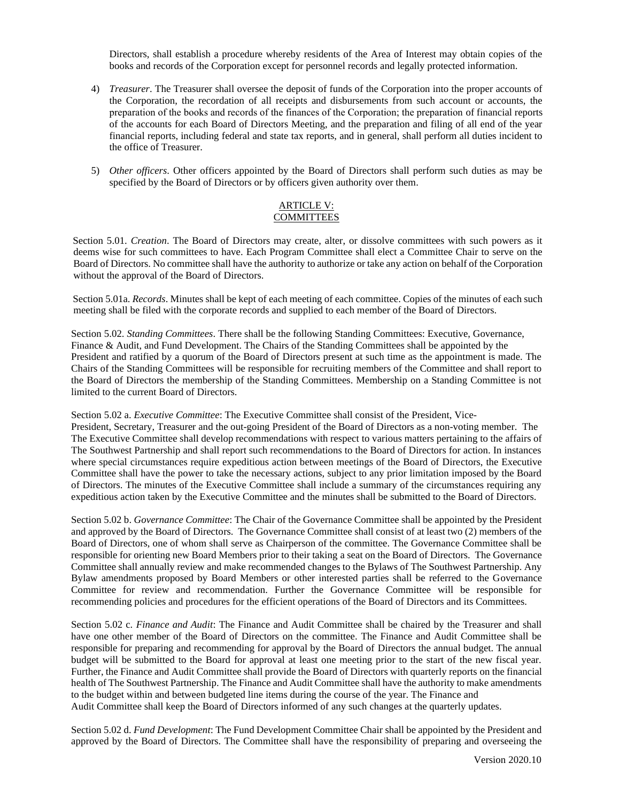Directors, shall establish a procedure whereby residents of the Area of Interest may obtain copies of the books and records of the Corporation except for personnel records and legally protected information.

- 4) *Treasurer*. The Treasurer shall oversee the deposit of funds of the Corporation into the proper accounts of the Corporation, the recordation of all receipts and disbursements from such account or accounts, the preparation of the books and records of the finances of the Corporation; the preparation of financial reports of the accounts for each Board of Directors Meeting, and the preparation and filing of all end of the year financial reports, including federal and state tax reports, and in general, shall perform all duties incident to the office of Treasurer.
- 5) *Other officers*. Other officers appointed by the Board of Directors shall perform such duties as may be specified by the Board of Directors or by officers given authority over them.

### ARTICLE V: **COMMITTEES**

Section 5.01. *Creation*. The Board of Directors may create, alter, or dissolve committees with such powers as it deems wise for such committees to have. Each Program Committee shall elect a Committee Chair to serve on the Board of Directors. No committee shall have the authority to authorize or take any action on behalf of the Corporation without the approval of the Board of Directors.

Section 5.01a. *Records*. Minutes shall be kept of each meeting of each committee. Copies of the minutes of each such meeting shall be filed with the corporate records and supplied to each member of the Board of Directors.

Section 5.02. *Standing Committees*. There shall be the following Standing Committees: Executive, Governance, Finance & Audit, and Fund Development. The Chairs of the Standing Committees shall be appointed by the President and ratified by a quorum of the Board of Directors present at such time as the appointment is made. The Chairs of the Standing Committees will be responsible for recruiting members of the Committee and shall report to the Board of Directors the membership of the Standing Committees. Membership on a Standing Committee is not limited to the current Board of Directors.

#### Section 5.02 a. *Executive Committee*: The Executive Committee shall consist of the President, Vice-

President, Secretary, Treasurer and the out-going President of the Board of Directors as a non-voting member. The The Executive Committee shall develop recommendations with respect to various matters pertaining to the affairs of The Southwest Partnership and shall report such recommendations to the Board of Directors for action. In instances where special circumstances require expeditious action between meetings of the Board of Directors, the Executive Committee shall have the power to take the necessary actions, subject to any prior limitation imposed by the Board of Directors. The minutes of the Executive Committee shall include a summary of the circumstances requiring any expeditious action taken by the Executive Committee and the minutes shall be submitted to the Board of Directors.

Section 5.02 b. *Governance Committee*: The Chair of the Governance Committee shall be appointed by the President and approved by the Board of Directors. The Governance Committee shall consist of at least two (2) members of the Board of Directors, one of whom shall serve as Chairperson of the committee. The Governance Committee shall be responsible for orienting new Board Members prior to their taking a seat on the Board of Directors. The Governance Committee shall annually review and make recommended changes to the Bylaws of The Southwest Partnership. Any Bylaw amendments proposed by Board Members or other interested parties shall be referred to the Governance Committee for review and recommendation. Further the Governance Committee will be responsible for recommending policies and procedures for the efficient operations of the Board of Directors and its Committees.

Section 5.02 c. *Finance and Audit*: The Finance and Audit Committee shall be chaired by the Treasurer and shall have one other member of the Board of Directors on the committee. The Finance and Audit Committee shall be responsible for preparing and recommending for approval by the Board of Directors the annual budget. The annual budget will be submitted to the Board for approval at least one meeting prior to the start of the new fiscal year. Further, the Finance and Audit Committee shall provide the Board of Directors with quarterly reports on the financial health of The Southwest Partnership. The Finance and Audit Committee shall have the authority to make amendments to the budget within and between budgeted line items during the course of the year. The Finance and Audit Committee shall keep the Board of Directors informed of any such changes at the quarterly updates.

Section 5.02 d. *Fund Development*: The Fund Development Committee Chair shall be appointed by the President and approved by the Board of Directors. The Committee shall have the responsibility of preparing and overseeing the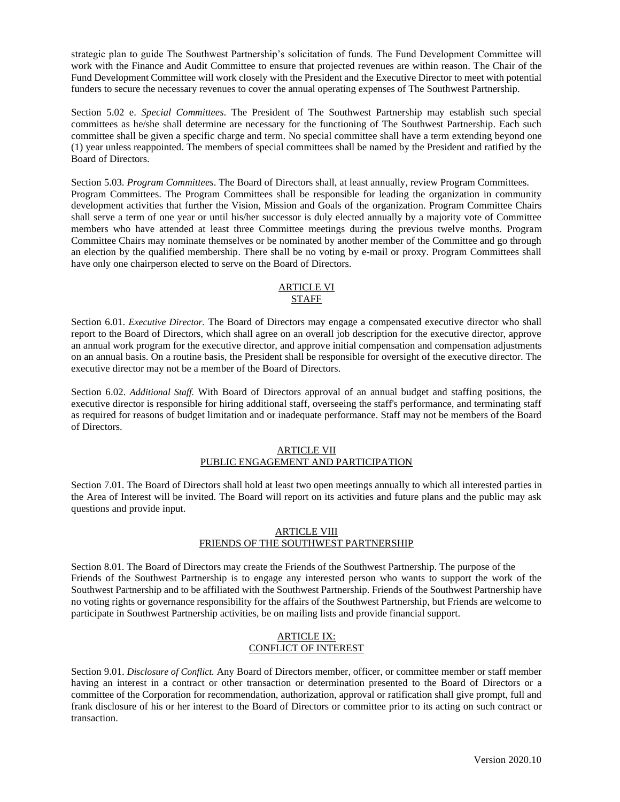strategic plan to guide The Southwest Partnership's solicitation of funds. The Fund Development Committee will work with the Finance and Audit Committee to ensure that projected revenues are within reason. The Chair of the Fund Development Committee will work closely with the President and the Executive Director to meet with potential funders to secure the necessary revenues to cover the annual operating expenses of The Southwest Partnership.

Section 5.02 e. *Special Committees*. The President of The Southwest Partnership may establish such special committees as he/she shall determine are necessary for the functioning of The Southwest Partnership. Each such committee shall be given a specific charge and term. No special committee shall have a term extending beyond one (1) year unless reappointed. The members of special committees shall be named by the President and ratified by the Board of Directors.

Section 5.03. *Program Committees*. The Board of Directors shall, at least annually, review Program Committees. Program Committees. The Program Committees shall be responsible for leading the organization in community development activities that further the Vision, Mission and Goals of the organization. Program Committee Chairs shall serve a term of one year or until his/her successor is duly elected annually by a majority vote of Committee members who have attended at least three Committee meetings during the previous twelve months. Program Committee Chairs may nominate themselves or be nominated by another member of the Committee and go through an election by the qualified membership. There shall be no voting by e-mail or proxy. Program Committees shall have only one chairperson elected to serve on the Board of Directors.

### ARTICLE VI STAFF

Section 6.01. *Executive Director.* The Board of Directors may engage a compensated executive director who shall report to the Board of Directors, which shall agree on an overall job description for the executive director, approve an annual work program for the executive director, and approve initial compensation and compensation adjustments on an annual basis. On a routine basis, the President shall be responsible for oversight of the executive director. The executive director may not be a member of the Board of Directors.

Section 6.02. *Additional Staff.* With Board of Directors approval of an annual budget and staffing positions, the executive director is responsible for hiring additional staff, overseeing the staff's performance, and terminating staff as required for reasons of budget limitation and or inadequate performance. Staff may not be members of the Board of Directors.

### ARTICLE VII PUBLIC ENGAGEMENT AND PARTICIPATION

Section 7.01. The Board of Directors shall hold at least two open meetings annually to which all interested parties in the Area of Interest will be invited. The Board will report on its activities and future plans and the public may ask questions and provide input.

### ARTICLE VIII FRIENDS OF THE SOUTHWEST PARTNERSHIP

Section 8.01. The Board of Directors may create the Friends of the Southwest Partnership. The purpose of the Friends of the Southwest Partnership is to engage any interested person who wants to support the work of the Southwest Partnership and to be affiliated with the Southwest Partnership. Friends of the Southwest Partnership have no voting rights or governance responsibility for the affairs of the Southwest Partnership, but Friends are welcome to participate in Southwest Partnership activities, be on mailing lists and provide financial support.

## ARTICLE IX: CONFLICT OF INTEREST

Section 9.01. *Disclosure of Conflict.* Any Board of Directors member, officer, or committee member or staff member having an interest in a contract or other transaction or determination presented to the Board of Directors or a committee of the Corporation for recommendation, authorization, approval or ratification shall give prompt, full and frank disclosure of his or her interest to the Board of Directors or committee prior to its acting on such contract or transaction.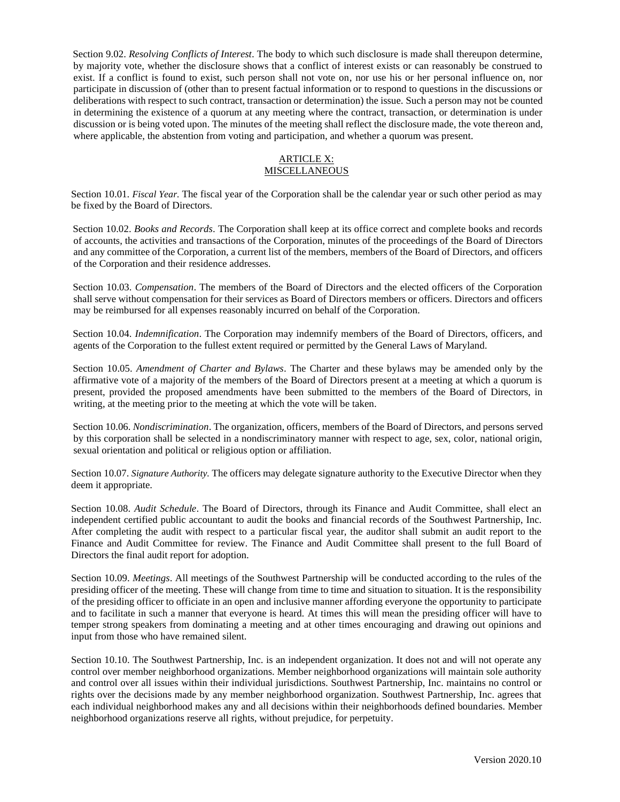Section 9.02. *Resolving Conflicts of Interest*. The body to which such disclosure is made shall thereupon determine, by majority vote, whether the disclosure shows that a conflict of interest exists or can reasonably be construed to exist. If a conflict is found to exist, such person shall not vote on, nor use his or her personal influence on, nor participate in discussion of (other than to present factual information or to respond to questions in the discussions or deliberations with respect to such contract, transaction or determination) the issue. Such a person may not be counted in determining the existence of a quorum at any meeting where the contract, transaction, or determination is under discussion or is being voted upon. The minutes of the meeting shall reflect the disclosure made, the vote thereon and, where applicable, the abstention from voting and participation, and whether a quorum was present.

#### ARTICLE X: **MISCELLANEOUS**

Section 10.01. *Fiscal Year.* The fiscal year of the Corporation shall be the calendar year or such other period as may be fixed by the Board of Directors.

Section 10.02. *Books and Records*. The Corporation shall keep at its office correct and complete books and records of accounts, the activities and transactions of the Corporation, minutes of the proceedings of the Board of Directors and any committee of the Corporation, a current list of the members, members of the Board of Directors, and officers of the Corporation and their residence addresses.

Section 10.03. *Compensation*. The members of the Board of Directors and the elected officers of the Corporation shall serve without compensation for their services as Board of Directors members or officers. Directors and officers may be reimbursed for all expenses reasonably incurred on behalf of the Corporation.

Section 10.04. *Indemnification*. The Corporation may indemnify members of the Board of Directors, officers, and agents of the Corporation to the fullest extent required or permitted by the General Laws of Maryland.

Section 10.05. *Amendment of Charter and Bylaws*. The Charter and these bylaws may be amended only by the affirmative vote of a majority of the members of the Board of Directors present at a meeting at which a quorum is present, provided the proposed amendments have been submitted to the members of the Board of Directors, in writing, at the meeting prior to the meeting at which the vote will be taken.

Section 10.06. *Nondiscrimination*. The organization, officers, members of the Board of Directors, and persons served by this corporation shall be selected in a nondiscriminatory manner with respect to age, sex, color, national origin, sexual orientation and political or religious option or affiliation.

Section 10.07. *Signature Authority.* The officers may delegate signature authority to the Executive Director when they deem it appropriate.

Section 10.08. *Audit Schedule*. The Board of Directors, through its Finance and Audit Committee, shall elect an independent certified public accountant to audit the books and financial records of the Southwest Partnership, Inc. After completing the audit with respect to a particular fiscal year, the auditor shall submit an audit report to the Finance and Audit Committee for review. The Finance and Audit Committee shall present to the full Board of Directors the final audit report for adoption.

Section 10.09. *Meetings*. All meetings of the Southwest Partnership will be conducted according to the rules of the presiding officer of the meeting. These will change from time to time and situation to situation. It is the responsibility of the presiding officer to officiate in an open and inclusive manner affording everyone the opportunity to participate and to facilitate in such a manner that everyone is heard. At times this will mean the presiding officer will have to temper strong speakers from dominating a meeting and at other times encouraging and drawing out opinions and input from those who have remained silent.

Section 10.10. The Southwest Partnership, Inc. is an independent organization. It does not and will not operate any control over member neighborhood organizations. Member neighborhood organizations will maintain sole authority and control over all issues within their individual jurisdictions. Southwest Partnership, Inc. maintains no control or rights over the decisions made by any member neighborhood organization. Southwest Partnership, Inc. agrees that each individual neighborhood makes any and all decisions within their neighborhoods defined boundaries. Member neighborhood organizations reserve all rights, without prejudice, for perpetuity.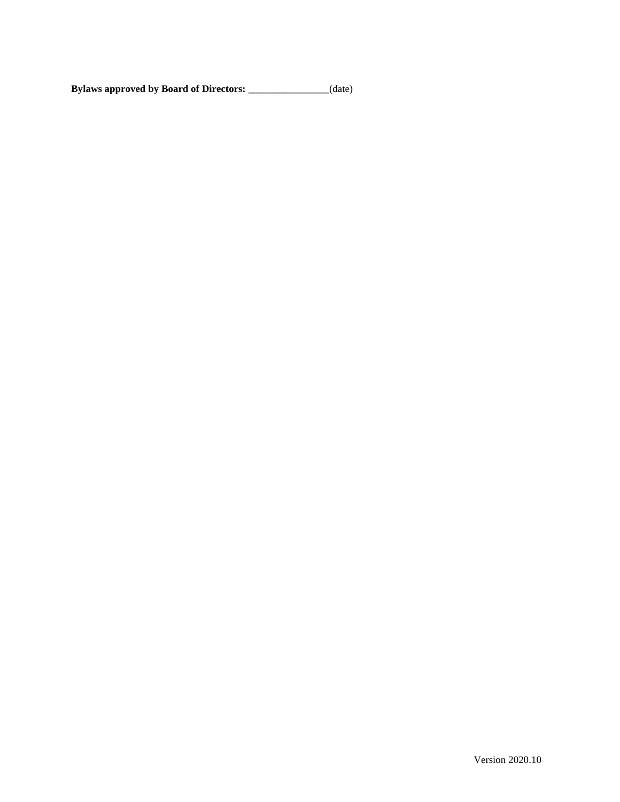**Bylaws approved by Board of Directors:** \_\_\_\_\_\_\_\_\_\_\_\_\_\_\_\_(date)